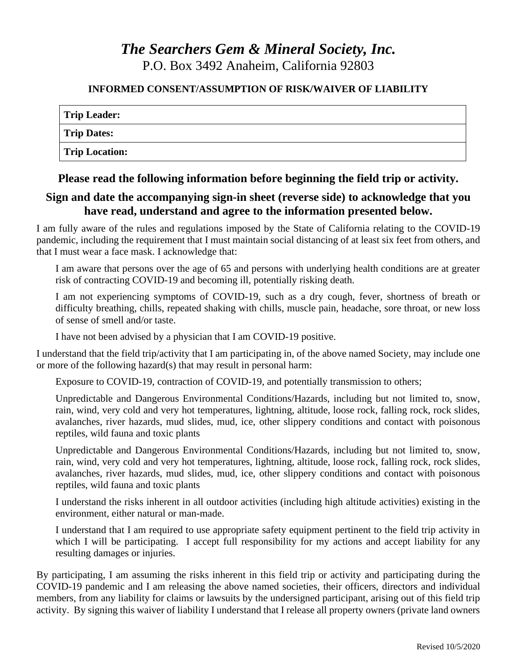# *The Searchers Gem & Mineral Society, Inc.* P.O. Box 3492 Anaheim, California 92803

#### **INFORMED CONSENT/ASSUMPTION OF RISK/WAIVER OF LIABILITY**

| <b>Trip Leader:</b>   |  |
|-----------------------|--|
| <b>Trip Dates:</b>    |  |
| <b>Trip Location:</b> |  |

**Please read the following information before beginning the field trip or activity.**

### **Sign and date the accompanying sign-in sheet (reverse side) to acknowledge that you have read, understand and agree to the information presented below.**

I am fully aware of the rules and regulations imposed by the State of California relating to the COVID-19 pandemic, including the requirement that I must maintain social distancing of at least six feet from others, and that I must wear a face mask. I acknowledge that:

I am aware that persons over the age of 65 and persons with underlying health conditions are at greater risk of contracting COVID-19 and becoming ill, potentially risking death.

I am not experiencing symptoms of COVID-19, such as a dry cough, fever, shortness of breath or difficulty breathing, chills, repeated shaking with chills, muscle pain, headache, sore throat, or new loss of sense of smell and/or taste.

I have not been advised by a physician that I am COVID-19 positive.

I understand that the field trip/activity that I am participating in, of the above named Society, may include one or more of the following hazard(s) that may result in personal harm:

Exposure to COVID-19, contraction of COVID-19, and potentially transmission to others;

Unpredictable and Dangerous Environmental Conditions/Hazards, including but not limited to, snow, rain, wind, very cold and very hot temperatures, lightning, altitude, loose rock, falling rock, rock slides, avalanches, river hazards, mud slides, mud, ice, other slippery conditions and contact with poisonous reptiles, wild fauna and toxic plants

Unpredictable and Dangerous Environmental Conditions/Hazards, including but not limited to, snow, rain, wind, very cold and very hot temperatures, lightning, altitude, loose rock, falling rock, rock slides, avalanches, river hazards, mud slides, mud, ice, other slippery conditions and contact with poisonous reptiles, wild fauna and toxic plants

I understand the risks inherent in all outdoor activities (including high altitude activities) existing in the environment, either natural or man-made.

I understand that I am required to use appropriate safety equipment pertinent to the field trip activity in which I will be participating. I accept full responsibility for my actions and accept liability for any resulting damages or injuries.

By participating, I am assuming the risks inherent in this field trip or activity and participating during the COVID-19 pandemic and I am releasing the above named societies, their officers, directors and individual members, from any liability for claims or lawsuits by the undersigned participant, arising out of this field trip activity. By signing this waiver of liability I understand that I release all property owners (private land owners